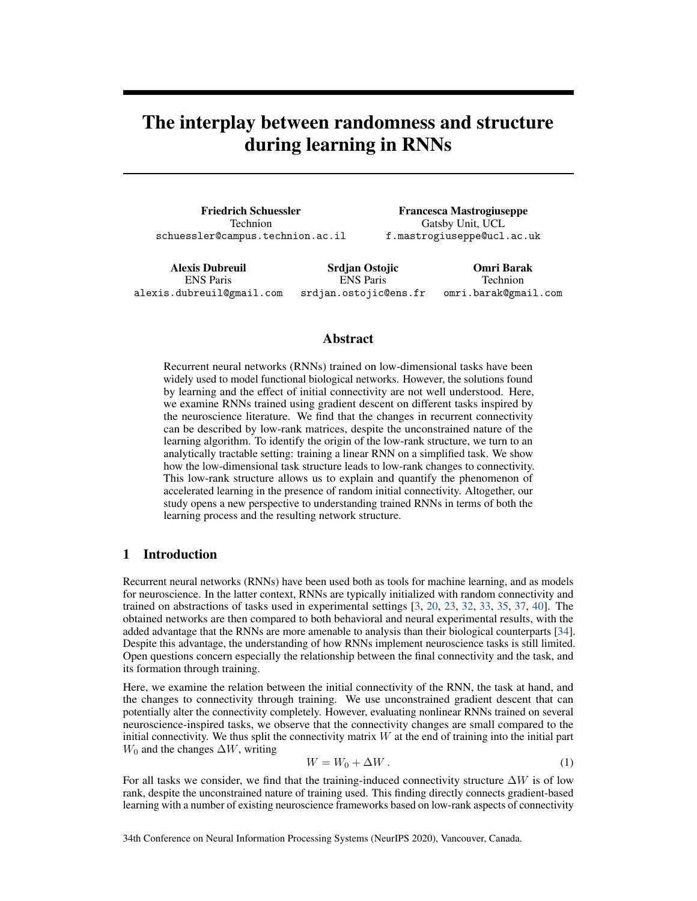# The interplay between randomness and structure during learning in RNNs

Friedrich Schuessler Technion schuessler@campus.technion.ac.il

Francesca Mastrogiuseppe Gatsby Unit, UCL f.mastrogiuseppe@ucl.ac.uk

Alexis Dubreuil ENS Paris alexis.dubreuil@gmail.com Srdjan Ostojic ENS Paris srdjan.ostojic@ens.fr Omri Barak Technion omri.barak@gmail.com

#### Abstract

Recurrent neural networks (RNNs) trained on low-dimensional tasks have been widely used to model functional biological networks. However, the solutions found by learning and the effect of initial connectivity are not well understood. Here, we examine RNNs trained using gradient descent on different tasks inspired by the neuroscience literature. We find that the changes in recurrent connectivity can be described by low-rank matrices, despite the unconstrained nature of the learning algorithm. To identify the origin of the low-rank structure, we turn to an analytically tractable setting: training a linear RNN on a simplified task. We show how the low-dimensional task structure leads to low-rank changes to connectivity. This low-rank structure allows us to explain and quantify the phenomenon of accelerated learning in the presence of random initial connectivity. Altogether, our study opens a new perspective to understanding trained RNNs in terms of both the learning process and the resulting network structure.

## 1 Introduction

Recurrent neural networks (RNNs) have been used both as tools for machine learning, and as models for neuroscience. In the latter context, RNNs are typically initialized with random connectivity and trained on abstractions of tasks used in experimental settings [\[3,](#page-9-0) [20,](#page-10-0) [23,](#page-10-1) [32,](#page-10-2) [33,](#page-10-3) [35,](#page-10-4) [37,](#page-10-5) [40\]](#page-10-6). The obtained networks are then compared to both behavioral and neural experimental results, with the added advantage that the RNNs are more amenable to analysis than their biological counterparts [\[34\]](#page-10-7). Despite this advantage, the understanding of how RNNs implement neuroscience tasks is still limited. Open questions concern especially the relationship between the final connectivity and the task, and its formation through training.

Here, we examine the relation between the initial connectivity of the RNN, the task at hand, and the changes to connectivity through training. We use unconstrained gradient descent that can potentially alter the connectivity completely. However, evaluating nonlinear RNNs trained on several neuroscience-inspired tasks, we observe that the connectivity changes are small compared to the initial connectivity. We thus split the connectivity matrix  $W$  at the end of training into the initial part  $W_0$  and the changes  $\Delta W$ , writing

$$
W = W_0 + \Delta W \,. \tag{1}
$$

For all tasks we consider, we find that the training-induced connectivity structure  $\Delta W$  is of low rank, despite the unconstrained nature of training used. This finding directly connects gradient-based learning with a number of existing neuroscience frameworks based on low-rank aspects of connectivity

34th Conference on Neural Information Processing Systems (NeurIPS 2020), Vancouver, Canada.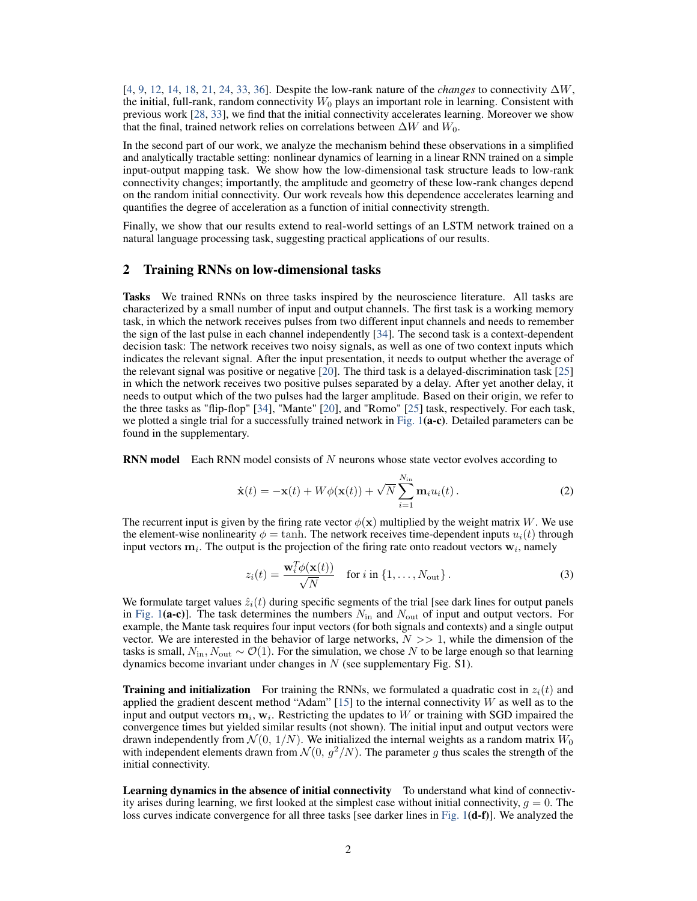[\[4,](#page-9-1) [9,](#page-9-2) [12,](#page-9-3) [14,](#page-9-4) [18,](#page-10-8) [21,](#page-10-9) [24,](#page-10-10) [33,](#page-10-3) [36\]](#page-10-11). Despite the low-rank nature of the *changes* to connectivity ∆W, the initial, full-rank, random connectivity  $W_0$  plays an important role in learning. Consistent with previous work [\[28,](#page-10-12) [33\]](#page-10-3), we find that the initial connectivity accelerates learning. Moreover we show that the final, trained network relies on correlations between  $\Delta W$  and  $W_0$ .

In the second part of our work, we analyze the mechanism behind these observations in a simplified and analytically tractable setting: nonlinear dynamics of learning in a linear RNN trained on a simple input-output mapping task. We show how the low-dimensional task structure leads to low-rank connectivity changes; importantly, the amplitude and geometry of these low-rank changes depend on the random initial connectivity. Our work reveals how this dependence accelerates learning and quantifies the degree of acceleration as a function of initial connectivity strength.

Finally, we show that our results extend to real-world settings of an LSTM network trained on a natural language processing task, suggesting practical applications of our results.

### 2 Training RNNs on low-dimensional tasks

Tasks We trained RNNs on three tasks inspired by the neuroscience literature. All tasks are characterized by a small number of input and output channels. The first task is a working memory task, in which the network receives pulses from two different input channels and needs to remember the sign of the last pulse in each channel independently [\[34\]](#page-10-7). The second task is a context-dependent decision task: The network receives two noisy signals, as well as one of two context inputs which indicates the relevant signal. After the input presentation, it needs to output whether the average of the relevant signal was positive or negative [\[20\]](#page-10-0). The third task is a delayed-discrimination task [\[25\]](#page-10-13) in which the network receives two positive pulses separated by a delay. After yet another delay, it needs to output which of the two pulses had the larger amplitude. Based on their origin, we refer to the three tasks as "flip-flop" [\[34\]](#page-10-7), "Mante" [\[20\]](#page-10-0), and "Romo" [\[25\]](#page-10-13) task, respectively. For each task, we plotted a single trial for a successfully trained network in [Fig. 1](#page-2-0)(a-c). Detailed parameters can be found in the supplementary.

**RNN model** Each RNN model consists of N neurons whose state vector evolves according to

<span id="page-1-0"></span>
$$
\dot{\mathbf{x}}(t) = -\mathbf{x}(t) + W\phi(\mathbf{x}(t)) + \sqrt{N} \sum_{i=1}^{N_{\text{in}}} \mathbf{m}_i u_i(t).
$$
 (2)

The recurrent input is given by the firing rate vector  $\phi(\mathbf{x})$  multiplied by the weight matrix W. We use the element-wise nonlinearity  $\phi = \tanh$ . The network receives time-dependent inputs  $u_i(t)$  through input vectors  $m_i$ . The output is the projection of the firing rate onto readout vectors  $w_i$ , namely

$$
z_i(t) = \frac{\mathbf{w}_i^T \phi(\mathbf{x}(t))}{\sqrt{N}} \quad \text{for } i \text{ in } \{1, \dots, N_{\text{out}}\}.
$$
 (3)

We formulate target values  $\hat{z}_i(t)$  during specific segments of the trial [see dark lines for output panels in [Fig. 1](#page-2-0)(a-c)]. The task determines the numbers  $N_{\rm in}$  and  $N_{\rm out}$  of input and output vectors. For example, the Mante task requires four input vectors (for both signals and contexts) and a single output vector. We are interested in the behavior of large networks,  $N \gg 1$ , while the dimension of the tasks is small,  $N_{\text{in}}$ ,  $N_{\text{out}} \sim \mathcal{O}(1)$ . For the simulation, we chose N to be large enough so that learning dynamics become invariant under changes in  $N$  (see supplementary Fig. S1).

**Training and initialization** For training the RNNs, we formulated a quadratic cost in  $z_i(t)$  and applied the gradient descent method "Adam"  $[15]$  to the internal connectivity W as well as to the input and output vectors  $m_i$ ,  $w_i$ . Restricting the updates to W or training with SGD impaired the convergence times but yielded similar results (not shown). The initial input and output vectors were drawn independently from  $\mathcal{N}(0, 1/N)$ . We initialized the internal weights as a random matrix  $W_0$ with independent elements drawn from  $\mathcal{N}(0, g^2/N)$ . The parameter g thus scales the strength of the initial connectivity.

Learning dynamics in the absence of initial connectivity To understand what kind of connectivity arises during learning, we first looked at the simplest case without initial connectivity,  $q = 0$ . The loss curves indicate convergence for all three tasks [see darker lines in [Fig. 1](#page-2-0)(d-f)]. We analyzed the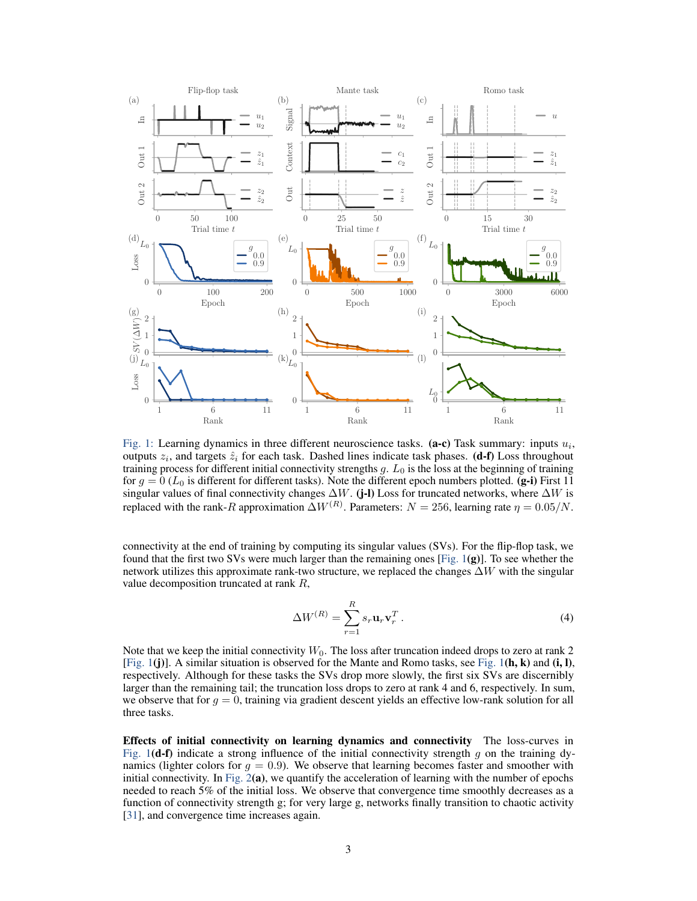<span id="page-2-0"></span>

Fig. 1: Learning dynamics in three different neuroscience tasks. (a-c) Task summary: inputs  $u_i$ , outputs  $z_i$ , and targets  $\hat{z}_i$  for each task. Dashed lines indicate task phases. (**d-f**) Loss throughout training process for different initial connectivity strengths  $g$ .  $L_0$  is the loss at the beginning of training for  $g = 0$  ( $L_0$  is different for different tasks). Note the different epoch numbers plotted. (g-i) First 11 singular values of final connectivity changes  $\Delta W$ . (j-l) Loss for truncated networks, where  $\Delta W$  is replaced with the rank-R approximation  $\Delta W^{(R)}$ . Parameters:  $N = 256$ , learning rate  $\eta = 0.05/N$ .

connectivity at the end of training by computing its singular values (SVs). For the flip-flop task, we found that the first two SVs were much larger than the remaining ones [\[Fig. 1](#page-2-0)(g)]. To see whether the network utilizes this approximate rank-two structure, we replaced the changes  $\Delta W$  with the singular value decomposition truncated at rank R,

<span id="page-2-1"></span>
$$
\Delta W^{(R)} = \sum_{r=1}^{R} s_r \mathbf{u}_r \mathbf{v}_r^T.
$$
 (4)

Note that we keep the initial connectivity  $W_0$ . The loss after truncation indeed drops to zero at rank 2 [\[Fig. 1](#page-2-0)(j)]. A similar situation is observed for the Mante and Romo tasks, see [Fig. 1](#page-2-0)(h, k) and (i, l), respectively. Although for these tasks the SVs drop more slowly, the first six SVs are discernibly larger than the remaining tail; the truncation loss drops to zero at rank 4 and 6, respectively. In sum, we observe that for  $g = 0$ , training via gradient descent yields an effective low-rank solution for all three tasks.

Effects of initial connectivity on learning dynamics and connectivity The loss-curves in [Fig. 1](#page-2-0)(**d-f**) indicate a strong influence of the initial connectivity strength q on the training dynamics (lighter colors for  $q = 0.9$ ). We observe that learning becomes faster and smoother with initial connectivity. In Fig.  $2(a)$ , we quantify the acceleration of learning with the number of epochs needed to reach 5% of the initial loss. We observe that convergence time smoothly decreases as a function of connectivity strength g; for very large g, networks finally transition to chaotic activity [\[31\]](#page-10-14), and convergence time increases again.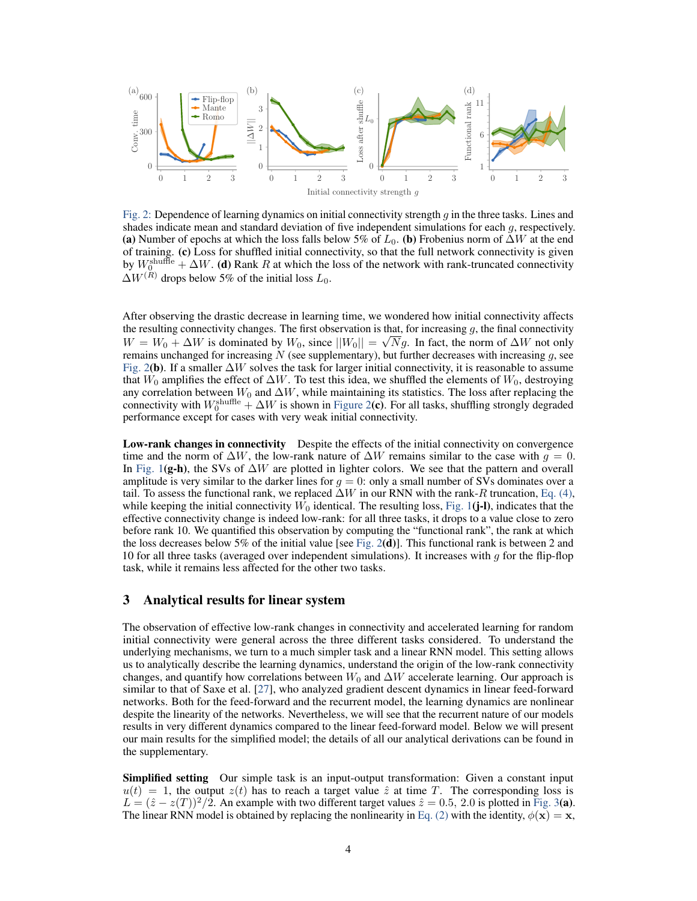<span id="page-3-0"></span>

Fig. 2: Dependence of learning dynamics on initial connectivity strength  $q$  in the three tasks. Lines and shades indicate mean and standard deviation of five independent simulations for each g, respectively. (a) Number of epochs at which the loss falls below 5% of  $L_0$ . (b) Frobenius norm of  $\Delta W$  at the end of training. (c) Loss for shuffled initial connectivity, so that the full network connectivity is given by  $W_0^{\text{shuffle}} + \Delta W$ . (d) Rank R at which the loss of the network with rank-truncated connectivity  $\Delta W^{(\tilde{R})}$  drops below 5% of the initial loss  $L_0$ .

After observing the drastic decrease in learning time, we wondered how initial connectivity affects the resulting connectivity changes. The first observation is that, for increasing  $g$ , the final connectivity  $W = W_0 + \Delta W$  is dominated by  $W_0$ , since  $||W_0|| = \sqrt{N}g$ . In fact, the norm of  $\Delta W$  not only remains unchanged for increasing  $N$  (see supplementary), but further decreases with increasing  $g$ , see [Fig. 2](#page-3-0)(b). If a smaller  $\Delta W$  solves the task for larger initial connectivity, it is reasonable to assume that  $W_0$  amplifies the effect of  $\Delta W$ . To test this idea, we shuffled the elements of  $W_0$ , destroying any correlation between  $W_0$  and  $\Delta W$ , while maintaining its statistics. The loss after replacing the connectivity with  $W_0^{\text{shuffle}} + \Delta W$  is shown in [Figure 2](#page-3-0)(c). For all tasks, shuffling strongly degraded performance except for cases with very weak initial connectivity.

Low-rank changes in connectivity Despite the effects of the initial connectivity on convergence time and the norm of  $\Delta W$ , the low-rank nature of  $\Delta W$  remains similar to the case with  $q = 0$ . In [Fig. 1](#page-2-0)(g-h), the SVs of  $\Delta W$  are plotted in lighter colors. We see that the pattern and overall amplitude is very similar to the darker lines for  $g = 0$ : only a small number of SVs dominates over a tail. To assess the functional rank, we replaced  $\Delta W$  in our RNN with the rank-R truncation, [Eq. \(4\),](#page-2-1) while keeping the initial connectivity  $W_0$  identical. The resulting loss, [Fig. 1](#page-2-0)(j-l), indicates that the effective connectivity change is indeed low-rank: for all three tasks, it drops to a value close to zero before rank 10. We quantified this observation by computing the "functional rank", the rank at which the loss decreases below 5% of the initial value [see [Fig. 2](#page-3-0)(d)]. This functional rank is between 2 and 10 for all three tasks (averaged over independent simulations). It increases with  $q$  for the flip-flop task, while it remains less affected for the other two tasks.

# 3 Analytical results for linear system

The observation of effective low-rank changes in connectivity and accelerated learning for random initial connectivity were general across the three different tasks considered. To understand the underlying mechanisms, we turn to a much simpler task and a linear RNN model. This setting allows us to analytically describe the learning dynamics, understand the origin of the low-rank connectivity changes, and quantify how correlations between  $W_0$  and  $\Delta W$  accelerate learning. Our approach is similar to that of Saxe et al. [\[27\]](#page-10-15), who analyzed gradient descent dynamics in linear feed-forward networks. Both for the feed-forward and the recurrent model, the learning dynamics are nonlinear despite the linearity of the networks. Nevertheless, we will see that the recurrent nature of our models results in very different dynamics compared to the linear feed-forward model. Below we will present our main results for the simplified model; the details of all our analytical derivations can be found in the supplementary.

Simplified setting Our simple task is an input-output transformation: Given a constant input  $u(t) = 1$ , the output  $z(t)$  has to reach a target value  $\hat{z}$  at time T. The corresponding loss is  $L = (\hat{z} - z(T))^2/2$ . An example with two different target values  $\hat{z} = 0.5$ , 2.0 is plotted in [Fig. 3](#page-4-0)(a). The linear RNN model is obtained by replacing the nonlinearity in [Eq. \(2\)](#page-1-0) with the identity,  $\phi(\mathbf{x}) = \mathbf{x}$ ,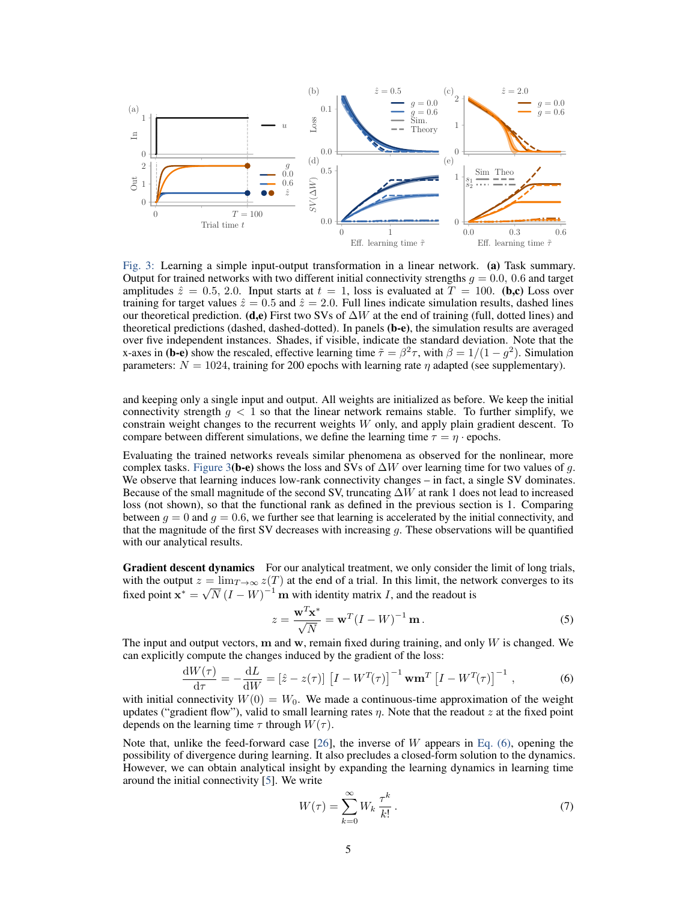<span id="page-4-0"></span>

Fig. 3: Learning a simple input-output transformation in a linear network. (a) Task summary. Output for trained networks with two different initial connectivity strengths  $g = 0.0, 0.6$  and target amplitudes  $\hat{z} = 0.5, 2.0$ . Input starts at  $t = 1$ , loss is evaluated at  $T = 100$ . (b,c) Loss over training for target values  $\hat{z} = 0.5$  and  $\hat{z} = 2.0$ . Full lines indicate simulation results, dashed lines our theoretical prediction. (**d,e**) First two SVs of  $\Delta W$  at the end of training (full, dotted lines) and theoretical predictions (dashed, dashed-dotted). In panels (b-e), the simulation results are averaged over five independent instances. Shades, if visible, indicate the standard deviation. Note that the x-axes in (b-e) show the rescaled, effective learning time  $\tilde{\tau} = \beta^2 \tau$ , with  $\beta = 1/(1 - g^2)$ . Simulation parameters:  $N = 1024$ , training for 200 epochs with learning rate  $\eta$  adapted (see supplementary).

and keeping only a single input and output. All weights are initialized as before. We keep the initial connectivity strength  $g < 1$  so that the linear network remains stable. To further simplify, we constrain weight changes to the recurrent weights  $W$  only, and apply plain gradient descent. To compare between different simulations, we define the learning time  $\tau = \eta \cdot$  epochs.

Evaluating the trained networks reveals similar phenomena as observed for the nonlinear, more complex tasks. [Figure 3](#page-4-0)(b-e) shows the loss and SVs of  $\Delta W$  over learning time for two values of g. We observe that learning induces low-rank connectivity changes – in fact, a single SV dominates. Because of the small magnitude of the second SV, truncating  $\Delta W$  at rank 1 does not lead to increased loss (not shown), so that the functional rank as defined in the previous section is 1. Comparing between  $g = 0$  and  $g = 0.6$ , we further see that learning is accelerated by the initial connectivity, and that the magnitude of the first SV decreases with increasing  $q$ . These observations will be quantified with our analytical results.

Gradient descent dynamics For our analytical treatment, we only consider the limit of long trials, with the output  $z = \lim_{T\to\infty} z(T)$  at the end of a trial. In this limit, the network converges to its fixed point  $\mathbf{x}^* = \sqrt{N} (I - W)^{-1} \mathbf{m}$  with identity matrix I, and the readout is

<span id="page-4-2"></span><span id="page-4-1"></span>
$$
z = \frac{\mathbf{w}^T \mathbf{x}^*}{\sqrt{N}} = \mathbf{w}^T (I - W)^{-1} \mathbf{m}.
$$
 (5)

The input and output vectors,  $m$  and  $w$ , remain fixed during training, and only  $W$  is changed. We can explicitly compute the changes induced by the gradient of the loss:

$$
\frac{\mathrm{d}W(\tau)}{\mathrm{d}\tau} = -\frac{\mathrm{d}L}{\mathrm{d}W} = \left[\hat{z} - z(\tau)\right] \left[I - W^{T}(\tau)\right]^{-1} \mathbf{w} \mathbf{m}^{T} \left[I - W^{T}(\tau)\right]^{-1},\tag{6}
$$

with initial connectivity  $W(0) = W_0$ . We made a continuous-time approximation of the weight updates ("gradient flow"), valid to small learning rates  $\eta$ . Note that the readout z at the fixed point depends on the learning time  $\tau$  through  $W(\tau)$ .

Note that, unlike the feed-forward case  $[26]$ , the inverse of W appears in [Eq. \(6\),](#page-4-1) opening the possibility of divergence during learning. It also precludes a closed-form solution to the dynamics. However, we can obtain analytical insight by expanding the learning dynamics in learning time around the initial connectivity [\[5\]](#page-9-6). We write

$$
W(\tau) = \sum_{k=0}^{\infty} W_k \, \frac{\tau^k}{k!} \,. \tag{7}
$$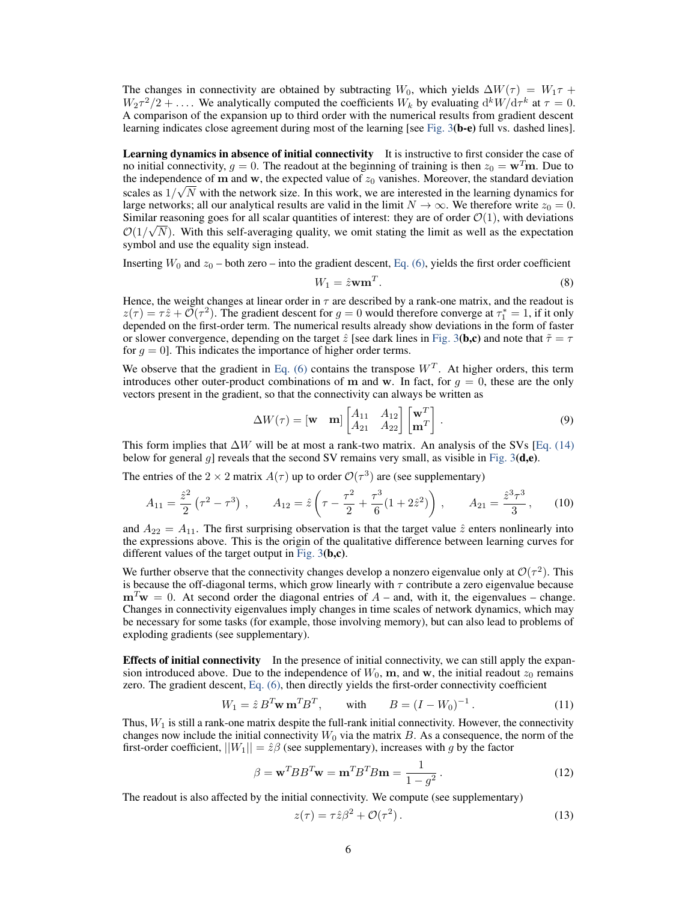The changes in connectivity are obtained by subtracting W<sub>0</sub>, which yields  $\Delta W(\tau) = W_1 \tau +$  $W_2 \tau^2/2 + \ldots$ . We analytically computed the coefficients  $W_k$  by evaluating  $d^k W/d\tau^k$  at  $\tau = 0$ . A comparison of the expansion up to third order with the numerical results from gradient descent learning indicates close agreement during most of the learning [see [Fig. 3](#page-4-0)(b-e) full vs. dashed lines].

Learning dynamics in absence of initial connectivity It is instructive to first consider the case of no initial connectivity,  $g = 0$ . The readout at the beginning of training is then  $z_0 = \mathbf{w}^T \mathbf{m}$ . Due to the independence of m and w, the expected value of  $z_0$  vanishes. Moreover, the standard deviation scales as  $1/\sqrt{N}$  with the network size. In this work, we are interested in the learning dynamics for large networks; all our analytical results are valid in the limit  $N \to \infty$ . We therefore write  $z_0 = 0$ . Similar reasoning goes for all scalar quantities of interest: they are of order  $\mathcal{O}(1)$ , with deviations  $\mathcal{O}(1/\sqrt{N})$ . With this self-averaging quality, we omit stating the limit as well as the expectation symbol and use the equality sign instead.

Inserting  $W_0$  and  $z_0$  – both zero – into the gradient descent, [Eq. \(6\),](#page-4-1) yields the first order coefficient

<span id="page-5-0"></span>
$$
W_1 = \hat{z} \mathbf{w} \mathbf{m}^T. \tag{8}
$$

Hence, the weight changes at linear order in  $\tau$  are described by a rank-one matrix, and the readout is  $z(\tau) = \tau \hat{z} + \tilde{\mathcal{O}}(\tau^2)$ . The gradient descent for  $g = 0$  would therefore converge at  $\tau_1^* = 1$ , if it only depended on the first-order term. The numerical results already show deviations in the form of faster or slower convergence, depending on the target  $\hat{z}$  [see dark lines in [Fig. 3](#page-4-0)(b,c) and note that  $\tilde{\tau} = \tau$ for  $g = 0$ . This indicates the importance of higher order terms.

We observe that the gradient in [Eq. \(6\)](#page-4-1) contains the transpose  $W<sup>T</sup>$ . At higher orders, this term introduces other outer-product combinations of m and w. In fact, for  $g = 0$ , these are the only vectors present in the gradient, so that the connectivity can always be written as

$$
\Delta W(\tau) = [\mathbf{w} \quad \mathbf{m}] \begin{bmatrix} A_{11} & A_{12} \\ A_{21} & A_{22} \end{bmatrix} \begin{bmatrix} \mathbf{w}^T \\ \mathbf{m}^T \end{bmatrix} . \tag{9}
$$

This form implies that  $\Delta W$  will be at most a rank-two matrix. An analysis of the SVs [\[Eq. \(14\)](#page-6-0) below for general q] reveals that the second SV remains very small, as visible in Fig.  $3(d,e)$ .

The entries of the  $2 \times 2$  matrix  $A(\tau)$  up to order  $\mathcal{O}(\tau^3)$  are (see supplementary)

$$
A_{11} = \frac{\hat{z}^2}{2} \left( \tau^2 - \tau^3 \right) , \qquad A_{12} = \hat{z} \left( \tau - \frac{\tau^2}{2} + \frac{\tau^3}{6} (1 + 2\hat{z}^2) \right) , \qquad A_{21} = \frac{\hat{z}^3 \tau^3}{3} , \qquad (10)
$$

and  $A_{22} = A_{11}$ . The first surprising observation is that the target value  $\hat{z}$  enters nonlinearly into the expressions above. This is the origin of the qualitative difference between learning curves for different values of the target output in Fig.  $3(b,c)$ .

We further observe that the connectivity changes develop a nonzero eigenvalue only at  $\mathcal{O}(\tau^2)$ . This is because the off-diagonal terms, which grow linearly with  $\tau$  contribute a zero eigenvalue because  $m<sup>T</sup>w = 0$ . At second order the diagonal entries of  $A$  – and, with it, the eigenvalues – change. Changes in connectivity eigenvalues imply changes in time scales of network dynamics, which may be necessary for some tasks (for example, those involving memory), but can also lead to problems of exploding gradients (see supplementary).

Effects of initial connectivity In the presence of initial connectivity, we can still apply the expansion introduced above. Due to the independence of  $W_0$ , m, and w, the initial readout  $z_0$  remains zero. The gradient descent, [Eq. \(6\),](#page-4-1) then directly yields the first-order connectivity coefficient

$$
W_1 = \hat{z} B^T \mathbf{w} \mathbf{m}^T B^T, \qquad \text{with} \qquad B = (I - W_0)^{-1} \,. \tag{11}
$$

Thus,  $W_1$  is still a rank-one matrix despite the full-rank initial connectivity. However, the connectivity changes now include the initial connectivity  $W_0$  via the matrix  $B$ . As a consequence, the norm of the first-order coefficient,  $||W_1|| = \hat{z}\beta$  (see supplementary), increases with g by the factor

$$
\beta = \mathbf{w}^T B B^T \mathbf{w} = \mathbf{m}^T B^T B \mathbf{m} = \frac{1}{1 - g^2}.
$$
 (12)

The readout is also affected by the initial connectivity. We compute (see supplementary)

$$
z(\tau) = \tau \hat{z}\beta^2 + \mathcal{O}(\tau^2). \tag{13}
$$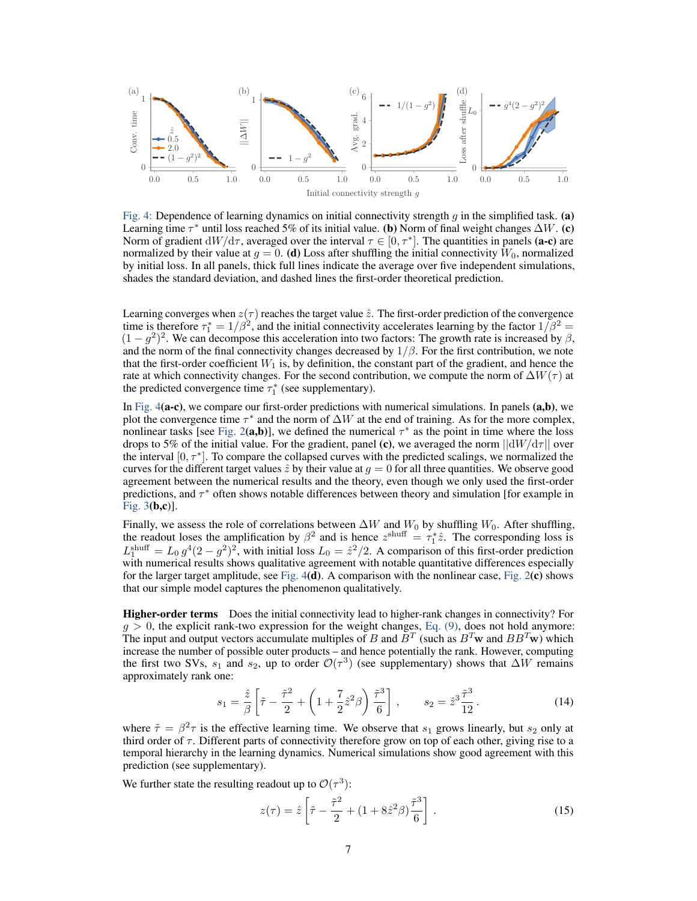<span id="page-6-1"></span>

Fig. 4: Dependence of learning dynamics on initial connectivity strength q in the simplified task. (a) Learning time  $\tau^*$  until loss reached 5% of its initial value. (b) Norm of final weight changes  $\Delta W$ . (c) Norm of gradient  $dW/d\tau$ , averaged over the interval  $\tau \in [0, \tau^*]$ . The quantities in panels (a-c) are normalized by their value at  $g = 0$ . (d) Loss after shuffling the initial connectivity  $W_0$ , normalized by initial loss. In all panels, thick full lines indicate the average over five independent simulations, shades the standard deviation, and dashed lines the first-order theoretical prediction.

Learning converges when  $z(\tau)$  reaches the target value  $\hat{z}$ . The first-order prediction of the convergence time is therefore  $\tau_1^* = 1/\beta^2$ , and the initial connectivity accelerates learning by the factor  $1/\beta^2 =$  $(1 - g^2)^2$ . We can decompose this acceleration into two factors: The growth rate is increased by  $\beta$ , and the norm of the final connectivity changes decreased by  $1/\beta$ . For the first contribution, we note that the first-order coefficient  $W_1$  is, by definition, the constant part of the gradient, and hence the rate at which connectivity changes. For the second contribution, we compute the norm of  $\Delta W(\tau)$  at the predicted convergence time  $\tau_1^*$  (see supplementary).

In Fig.  $4(a-c)$ , we compare our first-order predictions with numerical simulations. In panels  $(a,b)$ , we plot the convergence time  $\tau^*$  and the norm of  $\Delta W$  at the end of training. As for the more complex, nonlinear tasks [see [Fig. 2](#page-3-0)(a,b)], we defined the numerical  $\tau^*$  as the point in time where the loss drops to 5% of the initial value. For the gradient, panel (c), we averaged the norm  $||dW/d\tau||$  over the interval  $[0, \tau^*]$ . To compare the collapsed curves with the predicted scalings, we normalized the curves for the different target values  $\hat{z}$  by their value at  $g = 0$  for all three quantities. We observe good agreement between the numerical results and the theory, even though we only used the first-order predictions, and  $\tau^*$  often shows notable differences between theory and simulation [for example in [Fig. 3](#page-4-0)(b,c)].

Finally, we assess the role of correlations between  $\Delta W$  and  $W_0$  by shuffling  $W_0$ . After shuffling, the readout loses the amplification by  $\beta^2$  and is hence  $z^{\text{shuff}} = \tau_1^* \hat{z}$ . The corresponding loss is  $L_1^{\text{shuff}} = L_0 g^4 (2 - g^2)^2$ , with initial loss  $L_0 = \hat{z}^2 / 2$ . A comparison of this first-order prediction with numerical results shows qualitative agreement with notable quantitative differences especially for the larger target amplitude, see Fig.  $4(d)$ . A comparison with the nonlinear case, Fig.  $2(c)$  shows that our simple model captures the phenomenon qualitatively.

Higher-order terms Does the initial connectivity lead to higher-rank changes in connectivity? For  $g > 0$ , the explicit rank-two expression for the weight changes, [Eq. \(9\),](#page-5-0) does not hold anymore: The input and output vectors accumulate multiples of B and  $B^T$  (such as  $B^T$ w and  $BB^T$ w) which increase the number of possible outer products – and hence potentially the rank. However, computing the first two SVs,  $s_1$  and  $s_2$ , up to order  $\mathcal{O}(\tau^3)$  (see supplementary) shows that  $\Delta W$  remains approximately rank one:

<span id="page-6-0"></span>
$$
s_1 = \frac{\hat{z}}{\beta} \left[ \tilde{\tau} - \frac{\tilde{\tau}^2}{2} + \left( 1 + \frac{7}{2} \hat{z}^2 \beta \right) \frac{\tilde{\tau}^3}{6} \right], \qquad s_2 = \hat{z}^3 \frac{\tilde{\tau}^3}{12}.
$$
 (14)

where  $\tilde{\tau} = \beta^2 \tau$  is the effective learning time. We observe that  $s_1$  grows linearly, but  $s_2$  only at third order of  $\tau$ . Different parts of connectivity therefore grow on top of each other, giving rise to a temporal hierarchy in the learning dynamics. Numerical simulations show good agreement with this prediction (see supplementary).

We further state the resulting readout up to  $\mathcal{O}(\tau^3)$ :

<span id="page-6-2"></span>
$$
z(\tau) = \hat{z} \left[ \tilde{\tau} - \frac{\tilde{\tau}^2}{2} + (1 + 8\hat{z}^2 \beta) \frac{\tilde{\tau}^3}{6} \right].
$$
 (15)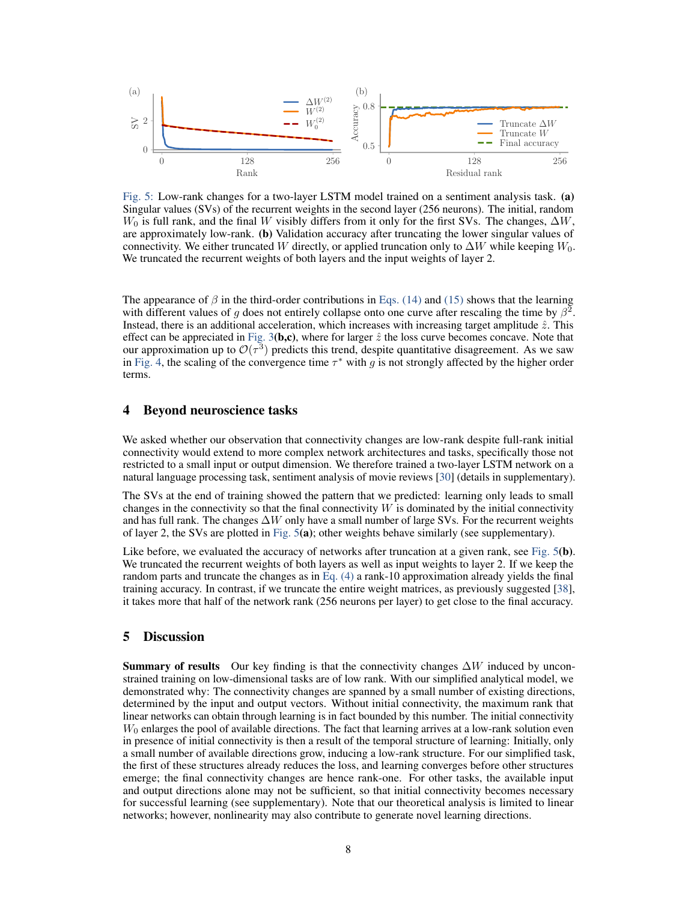<span id="page-7-0"></span>

Fig. 5: Low-rank changes for a two-layer LSTM model trained on a sentiment analysis task. (a) Singular values (SVs) of the recurrent weights in the second layer (256 neurons). The initial, random  $W_0$  is full rank, and the final W visibly differs from it only for the first SVs. The changes,  $\Delta W$ , are approximately low-rank. (b) Validation accuracy after truncating the lower singular values of connectivity. We either truncated W directly, or applied truncation only to  $\Delta W$  while keeping  $W_0$ . We truncated the recurrent weights of both layers and the input weights of layer 2.

The appearance of  $\beta$  in the third-order contributions in [Eqs. \(14\)](#page-6-0) and [\(15\)](#page-6-2) shows that the learning with different values of g does not entirely collapse onto one curve after rescaling the time by  $\beta^2$ . Instead, there is an additional acceleration, which increases with increasing target amplitude  $\hat{z}$ . This effect can be appreciated in [Fig. 3](#page-4-0)(b,c), where for larger  $\hat{z}$  the loss curve becomes concave. Note that our approximation up to  $\mathcal{O}(\tau^3)$  predicts this trend, despite quantitative disagreement. As we saw in [Fig. 4,](#page-6-1) the scaling of the convergence time  $\tau^*$  with g is not strongly affected by the higher order terms.

# 4 Beyond neuroscience tasks

We asked whether our observation that connectivity changes are low-rank despite full-rank initial connectivity would extend to more complex network architectures and tasks, specifically those not restricted to a small input or output dimension. We therefore trained a two-layer LSTM network on a natural language processing task, sentiment analysis of movie reviews [\[30\]](#page-10-17) (details in supplementary).

The SVs at the end of training showed the pattern that we predicted: learning only leads to small changes in the connectivity so that the final connectivity  $W$  is dominated by the initial connectivity and has full rank. The changes  $\Delta W$  only have a small number of large SVs. For the recurrent weights of layer 2, the SVs are plotted in [Fig. 5](#page-7-0)(a); other weights behave similarly (see supplementary).

Like before, we evaluated the accuracy of networks after truncation at a given rank, see [Fig. 5](#page-7-0)(b). We truncated the recurrent weights of both layers as well as input weights to layer 2. If we keep the random parts and truncate the changes as in [Eq. \(4\)](#page-2-1) a rank-10 approximation already yields the final training accuracy. In contrast, if we truncate the entire weight matrices, as previously suggested [\[38\]](#page-10-18), it takes more that half of the network rank (256 neurons per layer) to get close to the final accuracy.

# 5 Discussion

**Summary of results** Our key finding is that the connectivity changes  $\Delta W$  induced by unconstrained training on low-dimensional tasks are of low rank. With our simplified analytical model, we demonstrated why: The connectivity changes are spanned by a small number of existing directions, determined by the input and output vectors. Without initial connectivity, the maximum rank that linear networks can obtain through learning is in fact bounded by this number. The initial connectivity  $W_0$  enlarges the pool of available directions. The fact that learning arrives at a low-rank solution even in presence of initial connectivity is then a result of the temporal structure of learning: Initially, only a small number of available directions grow, inducing a low-rank structure. For our simplified task, the first of these structures already reduces the loss, and learning converges before other structures emerge; the final connectivity changes are hence rank-one. For other tasks, the available input and output directions alone may not be sufficient, so that initial connectivity becomes necessary for successful learning (see supplementary). Note that our theoretical analysis is limited to linear networks; however, nonlinearity may also contribute to generate novel learning directions.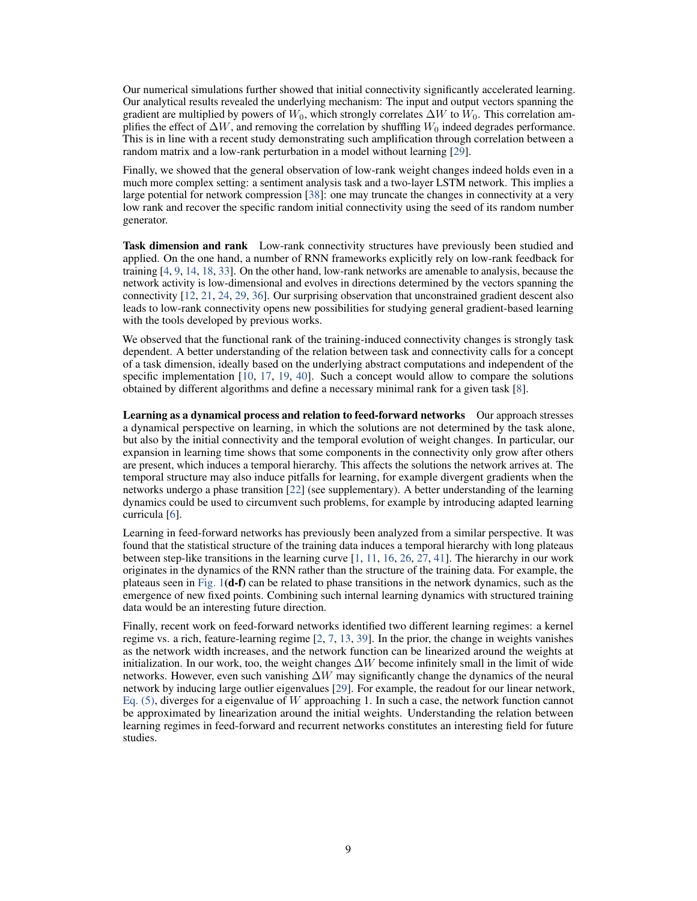Our numerical simulations further showed that initial connectivity significantly accelerated learning. Our analytical results revealed the underlying mechanism: The input and output vectors spanning the gradient are multiplied by powers of  $W_0$ , which strongly correlates  $\Delta W$  to  $\hat{W}_0$ . This correlation amplifies the effect of  $\Delta W$ , and removing the correlation by shuffling  $W_0$  indeed degrades performance. This is in line with a recent study demonstrating such amplification through correlation between a random matrix and a low-rank perturbation in a model without learning [\[29\]](#page-10-19).

Finally, we showed that the general observation of low-rank weight changes indeed holds even in a much more complex setting: a sentiment analysis task and a two-layer LSTM network. This implies a large potential for network compression [\[38\]](#page-10-18): one may truncate the changes in connectivity at a very low rank and recover the specific random initial connectivity using the seed of its random number generator.

Task dimension and rank Low-rank connectivity structures have previously been studied and applied. On the one hand, a number of RNN frameworks explicitly rely on low-rank feedback for training [\[4,](#page-9-1) [9,](#page-9-2) [14,](#page-9-4) [18,](#page-10-8) [33\]](#page-10-3). On the other hand, low-rank networks are amenable to analysis, because the network activity is low-dimensional and evolves in directions determined by the vectors spanning the connectivity [\[12,](#page-9-3) [21,](#page-10-9) [24,](#page-10-10) [29,](#page-10-19) [36\]](#page-10-11). Our surprising observation that unconstrained gradient descent also leads to low-rank connectivity opens new possibilities for studying general gradient-based learning with the tools developed by previous works.

We observed that the functional rank of the training-induced connectivity changes is strongly task dependent. A better understanding of the relation between task and connectivity calls for a concept of a task dimension, ideally based on the underlying abstract computations and independent of the specific implementation [\[10,](#page-9-7) [17,](#page-9-8) [19,](#page-10-20) [40\]](#page-10-6). Such a concept would allow to compare the solutions obtained by different algorithms and define a necessary minimal rank for a given task [\[8\]](#page-9-9).

Learning as a dynamical process and relation to feed-forward networks Our approach stresses a dynamical perspective on learning, in which the solutions are not determined by the task alone, but also by the initial connectivity and the temporal evolution of weight changes. In particular, our expansion in learning time shows that some components in the connectivity only grow after others are present, which induces a temporal hierarchy. This affects the solutions the network arrives at. The temporal structure may also induce pitfalls for learning, for example divergent gradients when the networks undergo a phase transition [\[22\]](#page-10-21) (see supplementary). A better understanding of the learning dynamics could be used to circumvent such problems, for example by introducing adapted learning curricula [\[6\]](#page-9-10).

Learning in feed-forward networks has previously been analyzed from a similar perspective. It was found that the statistical structure of the training data induces a temporal hierarchy with long plateaus between step-like transitions in the learning curve [\[1,](#page-9-11) [11,](#page-9-12) [16,](#page-9-13) [26,](#page-10-16) [27,](#page-10-15) [41\]](#page-10-22). The hierarchy in our work originates in the dynamics of the RNN rather than the structure of the training data. For example, the plateaus seen in Fig.  $1(d-f)$  can be related to phase transitions in the network dynamics, such as the emergence of new fixed points. Combining such internal learning dynamics with structured training data would be an interesting future direction.

Finally, recent work on feed-forward networks identified two different learning regimes: a kernel regime vs. a rich, feature-learning regime [\[2,](#page-9-14) [7,](#page-9-15) [13,](#page-9-16) [39\]](#page-10-23). In the prior, the change in weights vanishes as the network width increases, and the network function can be linearized around the weights at initialization. In our work, too, the weight changes  $\Delta W$  become infinitely small in the limit of wide networks. However, even such vanishing  $\Delta W$  may significantly change the dynamics of the neural network by inducing large outlier eigenvalues [\[29\]](#page-10-19). For example, the readout for our linear network, Eq.  $(5)$ , diverges for a eigenvalue of W approaching 1. In such a case, the network function cannot be approximated by linearization around the initial weights. Understanding the relation between learning regimes in feed-forward and recurrent networks constitutes an interesting field for future studies.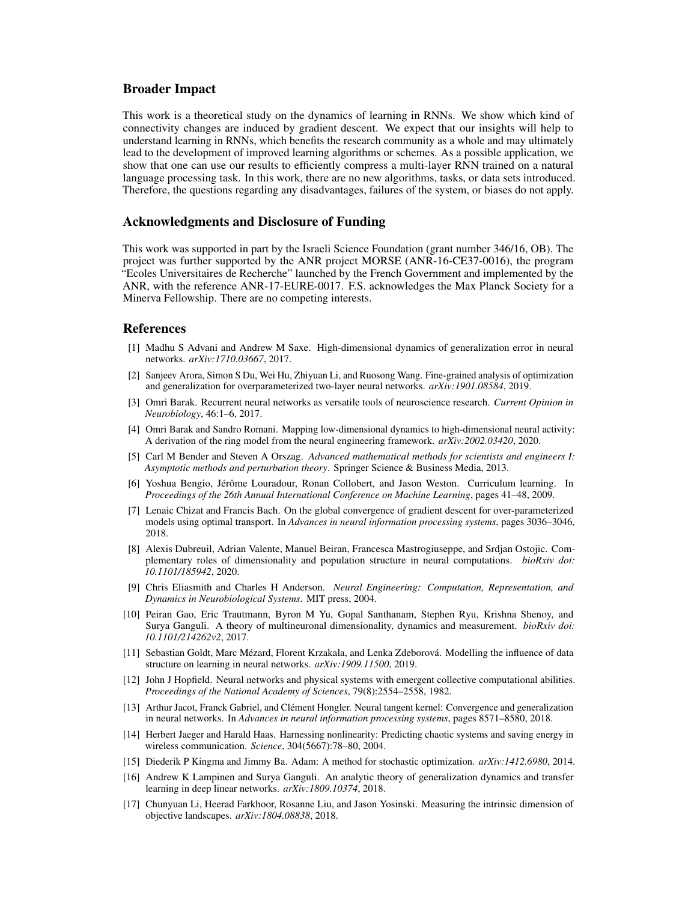## Broader Impact

This work is a theoretical study on the dynamics of learning in RNNs. We show which kind of connectivity changes are induced by gradient descent. We expect that our insights will help to understand learning in RNNs, which benefits the research community as a whole and may ultimately lead to the development of improved learning algorithms or schemes. As a possible application, we show that one can use our results to efficiently compress a multi-layer RNN trained on a natural language processing task. In this work, there are no new algorithms, tasks, or data sets introduced. Therefore, the questions regarding any disadvantages, failures of the system, or biases do not apply.

# Acknowledgments and Disclosure of Funding

This work was supported in part by the Israeli Science Foundation (grant number 346/16, OB). The project was further supported by the ANR project MORSE (ANR-16-CE37-0016), the program "Ecoles Universitaires de Recherche" launched by the French Government and implemented by the ANR, with the reference ANR-17-EURE-0017. F.S. acknowledges the Max Planck Society for a Minerva Fellowship. There are no competing interests.

#### References

- <span id="page-9-11"></span>[1] Madhu S Advani and Andrew M Saxe. High-dimensional dynamics of generalization error in neural networks. *arXiv:1710.03667*, 2017.
- <span id="page-9-14"></span>[2] Sanjeev Arora, Simon S Du, Wei Hu, Zhiyuan Li, and Ruosong Wang. Fine-grained analysis of optimization and generalization for overparameterized two-layer neural networks. *arXiv:1901.08584*, 2019.
- <span id="page-9-0"></span>[3] Omri Barak. Recurrent neural networks as versatile tools of neuroscience research. *Current Opinion in Neurobiology*, 46:1–6, 2017.
- <span id="page-9-1"></span>[4] Omri Barak and Sandro Romani. Mapping low-dimensional dynamics to high-dimensional neural activity: A derivation of the ring model from the neural engineering framework. *arXiv:2002.03420*, 2020.
- <span id="page-9-6"></span>[5] Carl M Bender and Steven A Orszag. *Advanced mathematical methods for scientists and engineers I: Asymptotic methods and perturbation theory*. Springer Science & Business Media, 2013.
- <span id="page-9-10"></span>[6] Yoshua Bengio, Jérôme Louradour, Ronan Collobert, and Jason Weston. Curriculum learning. In *Proceedings of the 26th Annual International Conference on Machine Learning*, pages 41–48, 2009.
- <span id="page-9-15"></span>[7] Lenaic Chizat and Francis Bach. On the global convergence of gradient descent for over-parameterized models using optimal transport. In *Advances in neural information processing systems*, pages 3036–3046, 2018.
- <span id="page-9-9"></span>[8] Alexis Dubreuil, Adrian Valente, Manuel Beiran, Francesca Mastrogiuseppe, and Srdjan Ostojic. Complementary roles of dimensionality and population structure in neural computations. *bioRxiv doi: 10.1101/185942*, 2020.
- <span id="page-9-2"></span>[9] Chris Eliasmith and Charles H Anderson. *Neural Engineering: Computation, Representation, and Dynamics in Neurobiological Systems*. MIT press, 2004.
- <span id="page-9-7"></span>[10] Peiran Gao, Eric Trautmann, Byron M Yu, Gopal Santhanam, Stephen Ryu, Krishna Shenoy, and Surya Ganguli. A theory of multineuronal dimensionality, dynamics and measurement. *bioRxiv doi: 10.1101/214262v2*, 2017.
- <span id="page-9-12"></span>[11] Sebastian Goldt, Marc Mézard, Florent Krzakala, and Lenka Zdeborová. Modelling the influence of data structure on learning in neural networks. *arXiv:1909.11500*, 2019.
- <span id="page-9-3"></span>[12] John J Hopfield. Neural networks and physical systems with emergent collective computational abilities. *Proceedings of the National Academy of Sciences*, 79(8):2554–2558, 1982.
- <span id="page-9-16"></span>[13] Arthur Jacot, Franck Gabriel, and Clément Hongler. Neural tangent kernel: Convergence and generalization in neural networks. In *Advances in neural information processing systems*, pages 8571–8580, 2018.
- <span id="page-9-4"></span>[14] Herbert Jaeger and Harald Haas. Harnessing nonlinearity: Predicting chaotic systems and saving energy in wireless communication. *Science*, 304(5667):78–80, 2004.
- <span id="page-9-5"></span>[15] Diederik P Kingma and Jimmy Ba. Adam: A method for stochastic optimization. *arXiv:1412.6980*, 2014.
- <span id="page-9-13"></span>[16] Andrew K Lampinen and Surya Ganguli. An analytic theory of generalization dynamics and transfer learning in deep linear networks. *arXiv:1809.10374*, 2018.
- <span id="page-9-8"></span>[17] Chunyuan Li, Heerad Farkhoor, Rosanne Liu, and Jason Yosinski. Measuring the intrinsic dimension of objective landscapes. *arXiv:1804.08838*, 2018.